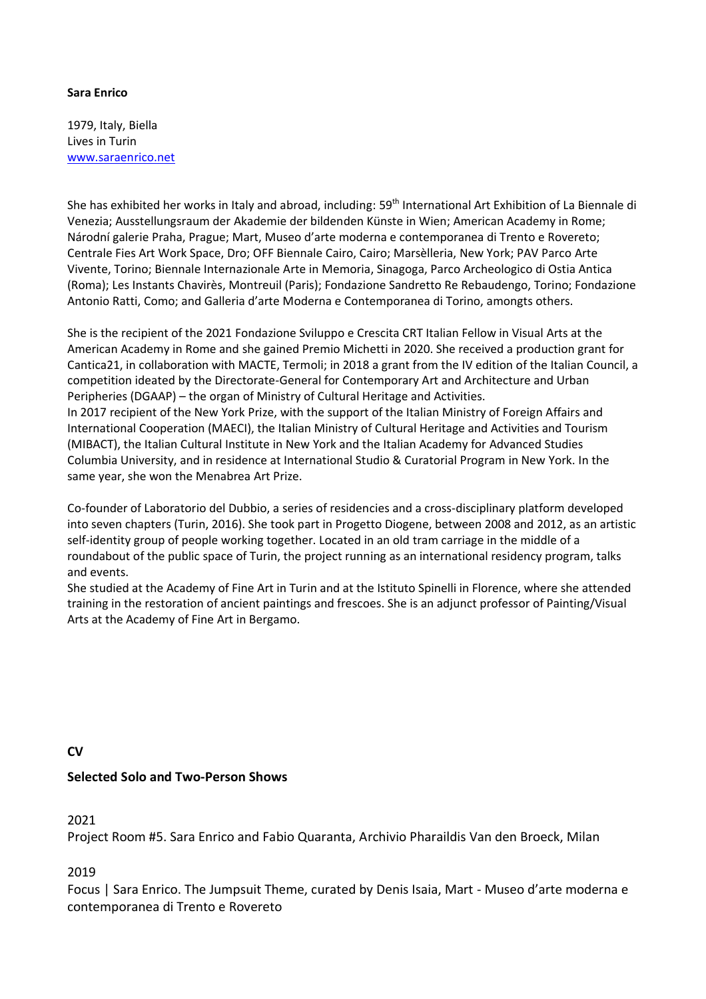#### **Sara Enrico**

1979, Italy, Biella Lives in Turin [www.saraenrico.net](http://www.saraenrico.net/)

She has exhibited her works in Italy and abroad, including: 59<sup>th</sup> International Art Exhibition of La Biennale di Venezia; Ausstellungsraum der Akademie der bildenden Künste in Wien; American Academy in Rome; Národní galerie Praha, Prague; Mart, Museo d'arte moderna e contemporanea di Trento e Rovereto; Centrale Fies Art Work Space, Dro; OFF Biennale Cairo, Cairo; Marsèlleria, New York; PAV Parco Arte Vivente, Torino; Biennale Internazionale Arte in Memoria, Sinagoga, Parco Archeologico di Ostia Antica (Roma); Les Instants Chavirès, Montreuil (Paris); Fondazione Sandretto Re Rebaudengo, Torino; Fondazione Antonio Ratti, Como; and Galleria d'arte Moderna e Contemporanea di Torino, amongts others.

She is the recipient of the 2021 Fondazione Sviluppo e Crescita CRT Italian Fellow in Visual Arts at the American Academy in Rome and she gained Premio Michetti in 2020. She received a production grant for Cantica21, in collaboration with MACTE, Termoli; in 2018 a grant from the IV edition of the Italian Council, a competition ideated by the Directorate-General for Contemporary Art and Architecture and Urban Peripheries (DGAAP) – the organ of Ministry of Cultural Heritage and Activities. In 2017 recipient of the New York Prize, with the support of the Italian Ministry of Foreign Affairs and International Cooperation (MAECI), the Italian Ministry of Cultural Heritage and Activities and Tourism (MIBACT), the Italian Cultural Institute in New York and the Italian Academy for Advanced Studies Columbia University, and in residence at International Studio & Curatorial Program in New York. In the same year, she won the Menabrea Art Prize.

Co-founder of Laboratorio del Dubbio, a series of residencies and a cross-disciplinary platform developed into seven chapters (Turin, 2016). She took part in Progetto Diogene, between 2008 and 2012, as an artistic self-identity group of people working together. Located in an old tram carriage in the middle of a roundabout of the public space of Turin, the project running as an international residency program, talks and events.

She studied at the Academy of Fine Art in Turin and at the Istituto Spinelli in Florence, where she attended training in the restoration of ancient paintings and frescoes. She is an adjunct professor of Painting/Visual Arts at the Academy of Fine Art in Bergamo.

#### **CV**

#### **Selected Solo and Two-Person Shows**

2021

Project Room #5. Sara Enrico and Fabio Quaranta, Archivio Pharaildis Van den Broeck, Milan

2019

Focus | Sara Enrico. The Jumpsuit Theme, curated by Denis Isaia, Mart - Museo d'arte moderna e contemporanea di Trento e Rovereto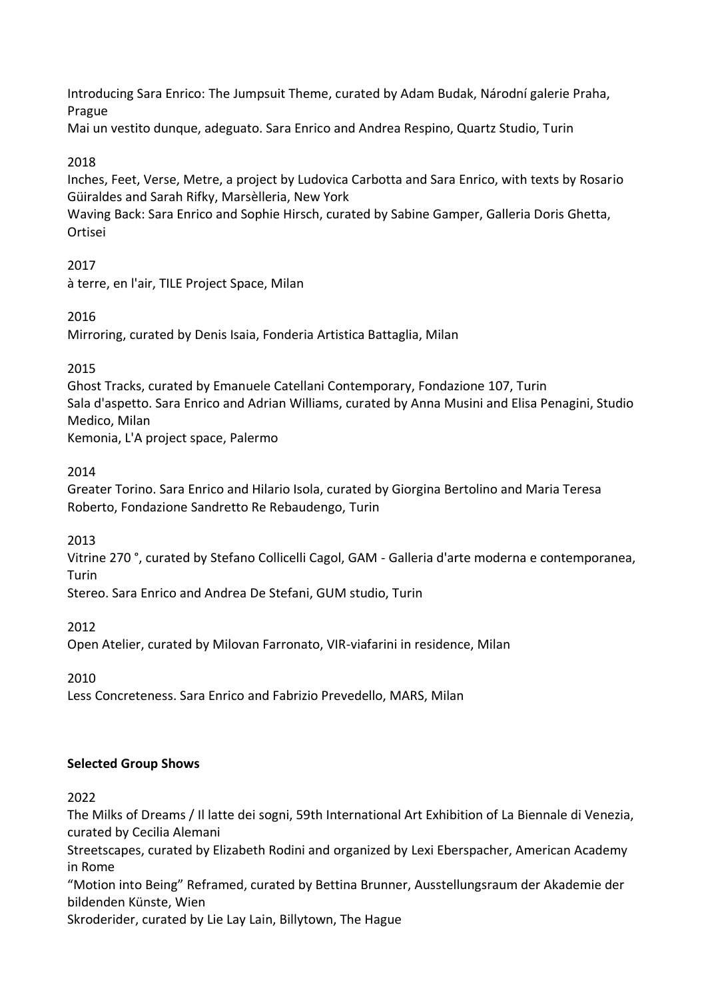Introducing Sara Enrico: The Jumpsuit Theme, curated by Adam Budak, Národní galerie Praha, Prague

Mai un vestito dunque, adeguato. Sara Enrico and Andrea Respino, Quartz Studio, Turin

#### 2018

Inches, Feet, Verse, Metre, a project by Ludovica Carbotta and Sara Enrico, with texts by Rosario Güiraldes and Sarah Rifky, Marsèlleria, New York

Waving Back: Sara Enrico and Sophie Hirsch, curated by Sabine Gamper, Galleria Doris Ghetta, Ortisei

#### 2017

à terre, en l'air, TILE Project Space, Milan

#### 2016

Mirroring, curated by Denis Isaia, Fonderia Artistica Battaglia, Milan

#### 2015

Ghost Tracks, curated by Emanuele Catellani Contemporary, Fondazione 107, Turin Sala d'aspetto. Sara Enrico and Adrian Williams, curated by Anna Musini and Elisa Penagini, Studio Medico, Milan

Kemonia, L'A project space, Palermo

#### 2014

Greater Torino. Sara Enrico and Hilario Isola, curated by Giorgina Bertolino and Maria Teresa Roberto, Fondazione Sandretto Re Rebaudengo, Turin

2013

Vitrine 270 °, curated by Stefano Collicelli Cagol, GAM - Galleria d'arte moderna e contemporanea, Turin

Stereo. Sara Enrico and Andrea De Stefani, GUM studio, Turin

2012

Open Atelier, curated by Milovan Farronato, VIR-viafarini in residence, Milan

2010

Less Concreteness. Sara Enrico and Fabrizio Prevedello, MARS, Milan

#### **Selected Group Shows**

2022

The Milks of Dreams / Il latte dei sogni, 59th International Art Exhibition of La Biennale di Venezia, curated by Cecilia Alemani

Streetscapes, curated by Elizabeth Rodini and organized by Lexi Eberspacher, American Academy in Rome

"Motion into Being" Reframed, curated by Bettina Brunner, Ausstellungsraum der Akademie der bildenden Künste, Wien

Skroderider, curated by Lie Lay Lain, Billytown, The Hague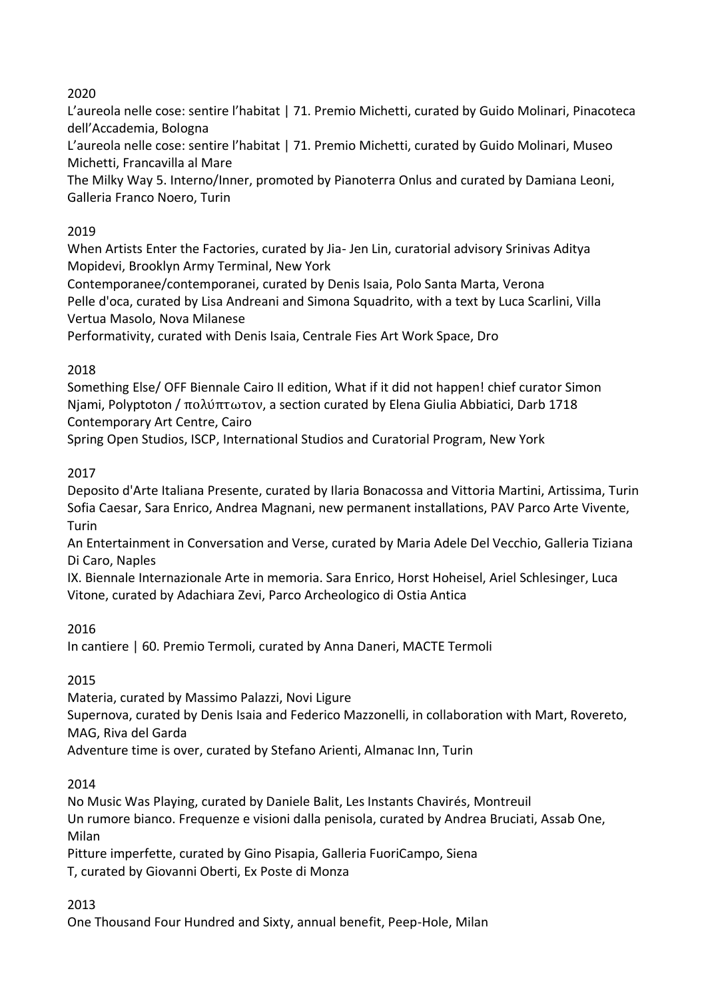# 2020

L'aureola nelle cose: sentire l'habitat | 71. Premio Michetti, curated by Guido Molinari, Pinacoteca dell'Accademia, Bologna

L'aureola nelle cose: sentire l'habitat | 71. Premio Michetti, curated by Guido Molinari, Museo Michetti, Francavilla al Mare

The Milky Way 5. Interno/Inner, promoted by Pianoterra Onlus and curated by Damiana Leoni, Galleria Franco Noero, Turin

# 2019

When Artists Enter the Factories, curated by Jia- Jen Lin, curatorial advisory Srinivas Aditya Mopidevi, Brooklyn Army Terminal, New York

Contemporanee/contemporanei, curated by Denis Isaia, Polo Santa Marta, Verona Pelle d'oca, curated by Lisa Andreani and Simona Squadrito, with a text by Luca Scarlini, Villa Vertua Masolo, Nova Milanese

Performativity, curated with Denis Isaia, Centrale Fies Art Work Space, Dro

# 2018

Something Else/ OFF Biennale Cairo II edition, What if it did not happen! chief curator Simon Njami, Polyptoton / πολύπτωτον, a section curated by Elena Giulia Abbiatici, Darb 1718 Contemporary Art Centre, Cairo

Spring Open Studios, ISCP, International Studios and Curatorial Program, New York

# 2017

Deposito d'Arte Italiana Presente, curated by Ilaria Bonacossa and Vittoria Martini, Artissima, Turin Sofia Caesar, Sara Enrico, Andrea Magnani, new permanent installations, PAV Parco Arte Vivente, **Turin** 

An Entertainment in Conversation and Verse, curated by Maria Adele Del Vecchio, Galleria Tiziana Di Caro, Naples

IX. Biennale Internazionale Arte in memoria. Sara Enrico, Horst Hoheisel, Ariel Schlesinger, Luca Vitone, curated by Adachiara Zevi, Parco Archeologico di Ostia Antica

## 2016

In cantiere | 60. Premio Termoli, curated by Anna Daneri, MACTE Termoli

## 2015

Materia, curated by Massimo Palazzi, Novi Ligure

Supernova, curated by Denis Isaia and Federico Mazzonelli, in collaboration with Mart, Rovereto, MAG, Riva del Garda

Adventure time is over, curated by Stefano Arienti, Almanac Inn, Turin

## 2014

No Music Was Playing, curated by Daniele Balit, Les Instants Chavirés, Montreuil Un rumore bianco. Frequenze e visioni dalla penisola, curated by Andrea Bruciati, Assab One, Milan

Pitture imperfette, curated by Gino Pisapia, Galleria FuoriCampo, Siena T, curated by Giovanni Oberti, Ex Poste di Monza

## 2013

One Thousand Four Hundred and Sixty, annual benefit, Peep-Hole, Milan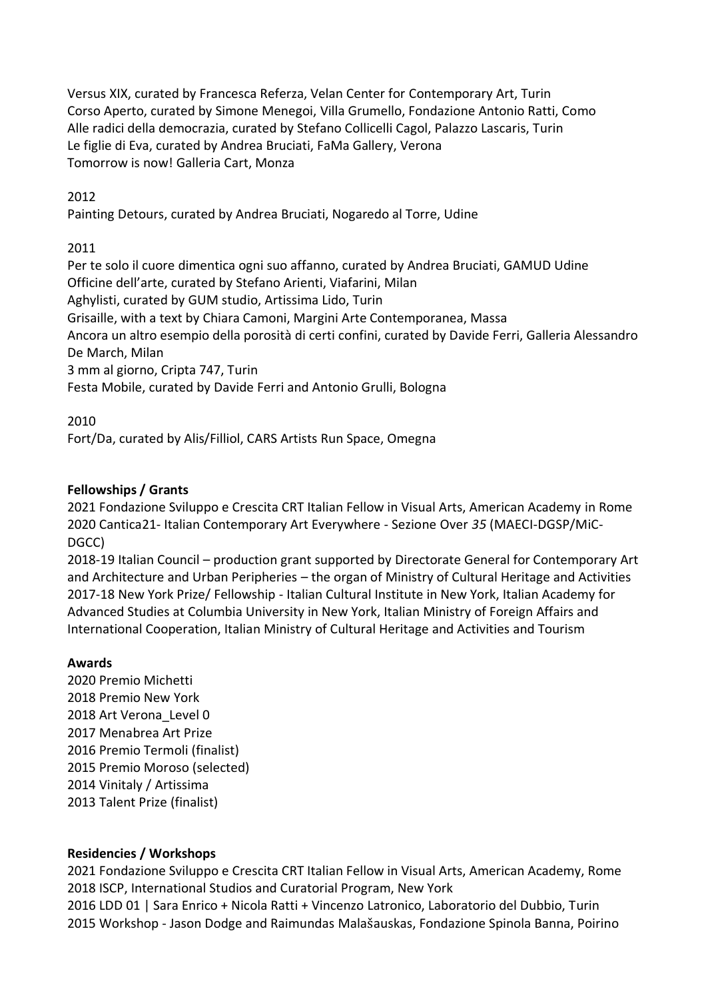Versus XIX, curated by Francesca Referza, Velan Center for Contemporary Art, Turin Corso Aperto, curated by Simone Menegoi, Villa Grumello, Fondazione Antonio Ratti, Como Alle radici della democrazia, curated by Stefano Collicelli Cagol, Palazzo Lascaris, Turin Le figlie di Eva, curated by Andrea Bruciati, FaMa Gallery, Verona Tomorrow is now! Galleria Cart, Monza

## 2012

Painting Detours, curated by Andrea Bruciati, Nogaredo al Torre, Udine

## 2011

Per te solo il cuore dimentica ogni suo affanno, curated by Andrea Bruciati, GAMUD Udine Officine dell'arte, curated by Stefano Arienti, Viafarini, Milan Aghylisti, curated by GUM studio, Artissima Lido, Turin Grisaille, with a text by Chiara Camoni, Margini Arte Contemporanea, Massa Ancora un altro esempio della porosità di certi confini, curated by Davide Ferri, Galleria Alessandro De March, Milan 3 mm al giorno, Cripta 747, Turin Festa Mobile, curated by Davide Ferri and Antonio Grulli, Bologna

2010

Fort/Da, curated by Alis/Filliol, CARS Artists Run Space, Omegna

# **Fellowships / Grants**

2021 Fondazione Sviluppo e Crescita CRT Italian Fellow in Visual Arts, American Academy in Rome 2020 Cantica21- Italian Contemporary Art Everywhere - Sezione Over *35* (MAECI-DGSP/MiC-DGCC)

2018-19 Italian Council – production grant supported by Directorate General for Contemporary Art and Architecture and Urban Peripheries – the organ of Ministry of Cultural Heritage and Activities 2017-18 New York Prize/ Fellowship - Italian Cultural Institute in New York, Italian Academy for Advanced Studies at Columbia University in New York, Italian Ministry of Foreign Affairs and International Cooperation, Italian Ministry of Cultural Heritage and Activities and Tourism

## **Awards**

2020 Premio Michetti 2018 Premio New York 2018 Art Verona\_Level 0 2017 Menabrea Art Prize 2016 Premio Termoli (finalist) 2015 Premio Moroso (selected) 2014 Vinitaly / Artissima 2013 Talent Prize (finalist)

## **Residencies / Workshops**

2021 Fondazione Sviluppo e Crescita CRT Italian Fellow in Visual Arts, American Academy, Rome ISCP, International Studios and Curatorial Program, New York LDD 01 | Sara Enrico + Nicola Ratti + Vincenzo Latronico, Laboratorio del Dubbio, Turin Workshop - Jason Dodge and Raimundas Malašauskas, Fondazione Spinola Banna, Poirino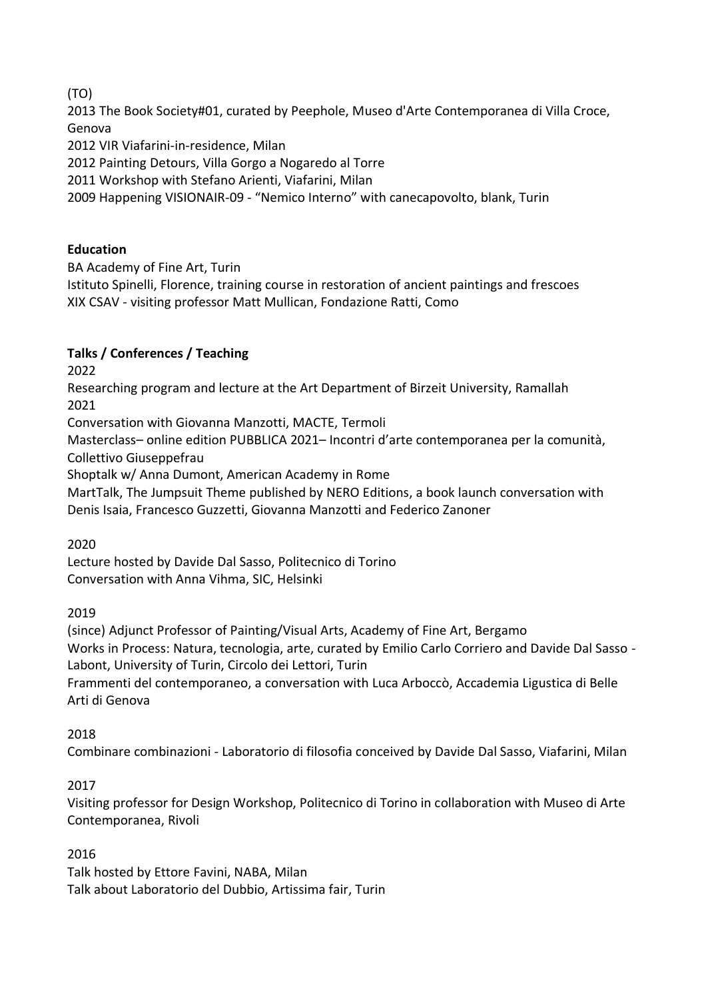(TO)

2013 The Book Society#01, curated by Peephole, Museo d'Arte Contemporanea di Villa Croce, Genova

2012 VIR Viafarini-in-residence, Milan

2012 Painting Detours, Villa Gorgo a Nogaredo al Torre

2011 Workshop with Stefano Arienti, Viafarini, Milan

2009 Happening VISIONAIR-09 - "Nemico Interno" with canecapovolto, blank, Turin

#### **Education**

BA Academy of Fine Art, Turin

Istituto Spinelli, Florence, training course in restoration of ancient paintings and frescoes XIX CSAV - visiting professor Matt Mullican, Fondazione Ratti, Como

# **Talks / Conferences / Teaching**

2022

Researching program and lecture at the Art Department of Birzeit University, Ramallah 2021

Conversation with Giovanna Manzotti, MACTE, Termoli

Masterclass– online edition PUBBLICA 2021– Incontri d'arte contemporanea per la comunità, Collettivo Giuseppefrau

Shoptalk w/ Anna Dumont, American Academy in Rome

MartTalk, The Jumpsuit Theme published by NERO Editions, a book launch conversation with Denis Isaia, Francesco Guzzetti, Giovanna Manzotti and Federico Zanoner

2020

Lecture hosted by Davide Dal Sasso, Politecnico di Torino Conversation with Anna Vihma, SIC, Helsinki

2019

(since) Adjunct Professor of Painting/Visual Arts, Academy of Fine Art, Bergamo Works in Process: Natura, tecnologia, arte, curated by Emilio Carlo Corriero and Davide Dal Sasso - Labont, University of Turin, Circolo dei Lettori, Turin

Frammenti del contemporaneo, a conversation with Luca Arboccò, Accademia Ligustica di Belle Arti di Genova

2018

Combinare combinazioni - Laboratorio di filosofia conceived by Davide Dal Sasso, Viafarini, Milan

## 2017

Visiting professor for Design Workshop, Politecnico di Torino in collaboration with Museo di Arte Contemporanea, Rivoli

2016

Talk hosted by Ettore Favini, NABA, Milan Talk about Laboratorio del Dubbio, Artissima fair, Turin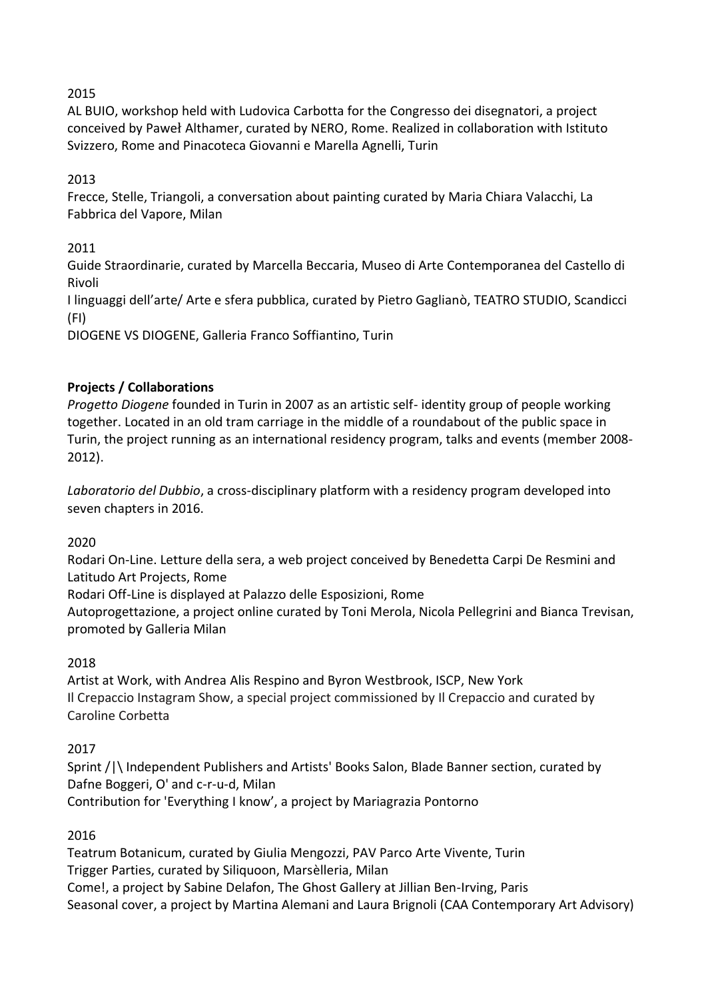## 2015

AL BUIO, workshop held with Ludovica Carbotta for the Congresso dei disegnatori, a project conceived by Paweł Althamer, curated by NERO, Rome. Realized in collaboration with Istituto Svizzero, Rome and Pinacoteca Giovanni e Marella Agnelli, Turin

# 2013

Frecce, Stelle, Triangoli, a conversation about painting curated by Maria Chiara Valacchi, La Fabbrica del Vapore, Milan

# 2011

Guide Straordinarie, curated by Marcella Beccaria, Museo di Arte Contemporanea del Castello di Rivoli

I linguaggi dell'arte/ Arte e sfera pubblica, curated by Pietro Gaglianò, TEATRO STUDIO, Scandicci (FI)

DIOGENE VS DIOGENE, Galleria Franco Soffiantino, Turin

# **Projects / Collaborations**

*Progetto Diogene* founded in Turin in 2007 as an artistic self- identity group of people working together. Located in an old tram carriage in the middle of a roundabout of the public space in Turin, the project running as an international residency program, talks and events (member 2008- 2012).

*Laboratorio del Dubbio*, a cross-disciplinary platform with a residency program developed into seven chapters in 2016.

## 2020

Rodari On-Line. Letture della sera, a web project conceived by Benedetta Carpi De Resmini and Latitudo Art Projects, Rome

Rodari Off-Line is displayed at Palazzo delle Esposizioni, Rome

Autoprogettazione, a project online curated by Toni Merola, Nicola Pellegrini and Bianca Trevisan, promoted by Galleria Milan

## 2018

Artist at Work, with Andrea Alis Respino and Byron Westbrook, ISCP, New York Il Crepaccio Instagram Show, a special project commissioned by Il Crepaccio and curated by Caroline Corbetta

## 2017

Sprint /|\ Independent Publishers and Artists' Books Salon, Blade Banner section, curated by Dafne Boggeri, O' and c-r-u-d, Milan Contribution for 'Everything I know', a project by Mariagrazia Pontorno

## 2016

Teatrum Botanicum, curated by Giulia Mengozzi, PAV Parco Arte Vivente, Turin Trigger Parties, curated by Siliquoon, Marsèlleria, Milan Come!, a project by Sabine Delafon, The Ghost Gallery at Jillian Ben-Irving, Paris Seasonal cover, a project by Martina Alemani and Laura Brignoli (CAA Contemporary Art Advisory)